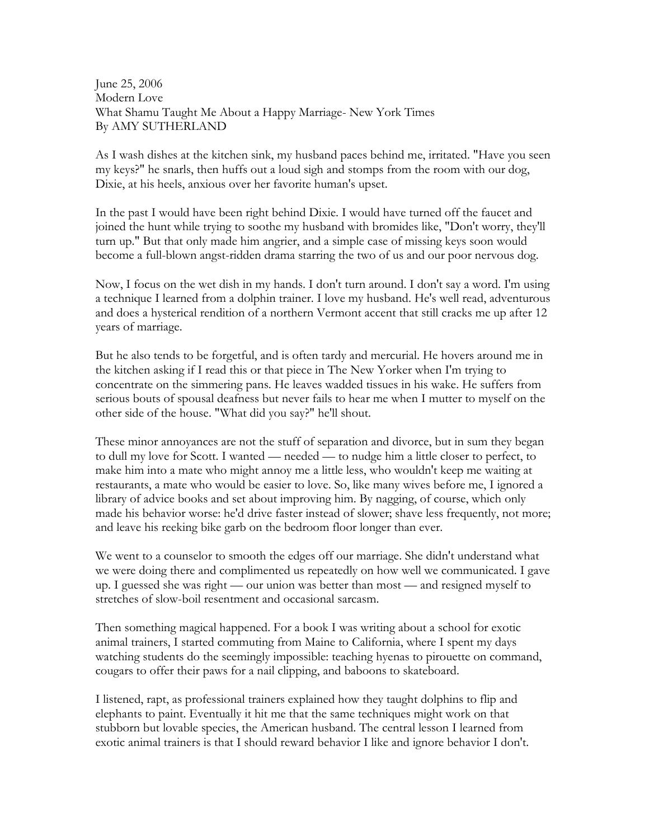June 25, 2006 Modern Love What Shamu Taught Me About a Happy Marriage- New York Times By AMY SUTHERLAND

As I wash dishes at the kitchen sink, my husband paces behind me, irritated. "Have you seen my keys?" he snarls, then huffs out a loud sigh and stomps from the room with our dog, Dixie, at his heels, anxious over her favorite human's upset.

In the past I would have been right behind Dixie. I would have turned off the faucet and joined the hunt while trying to soothe my husband with bromides like, "Don't worry, they'll turn up." But that only made him angrier, and a simple case of missing keys soon would become a full-blown angst-ridden drama starring the two of us and our poor nervous dog.

Now, I focus on the wet dish in my hands. I don't turn around. I don't say a word. I'm using a technique I learned from a dolphin trainer. I love my husband. He's well read, adventurous and does a hysterical rendition of a northern Vermont accent that still cracks me up after 12 years of marriage.

But he also tends to be forgetful, and is often tardy and mercurial. He hovers around me in the kitchen asking if I read this or that piece in The New Yorker when I'm trying to concentrate on the simmering pans. He leaves wadded tissues in his wake. He suffers from serious bouts of spousal deafness but never fails to hear me when I mutter to myself on the other side of the house. "What did you say?" he'll shout.

These minor annoyances are not the stuff of separation and divorce, but in sum they began to dull my love for Scott. I wanted — needed — to nudge him a little closer to perfect, to make him into a mate who might annoy me a little less, who wouldn't keep me waiting at restaurants, a mate who would be easier to love. So, like many wives before me, I ignored a library of advice books and set about improving him. By nagging, of course, which only made his behavior worse: he'd drive faster instead of slower; shave less frequently, not more; and leave his reeking bike garb on the bedroom floor longer than ever.

We went to a counselor to smooth the edges off our marriage. She didn't understand what we were doing there and complimented us repeatedly on how well we communicated. I gave up. I guessed she was right — our union was better than most — and resigned myself to stretches of slow-boil resentment and occasional sarcasm.

Then something magical happened. For a book I was writing about a school for exotic animal trainers, I started commuting from Maine to California, where I spent my days watching students do the seemingly impossible: teaching hyenas to pirouette on command, cougars to offer their paws for a nail clipping, and baboons to skateboard.

I listened, rapt, as professional trainers explained how they taught dolphins to flip and elephants to paint. Eventually it hit me that the same techniques might work on that stubborn but lovable species, the American husband. The central lesson I learned from exotic animal trainers is that I should reward behavior I like and ignore behavior I don't.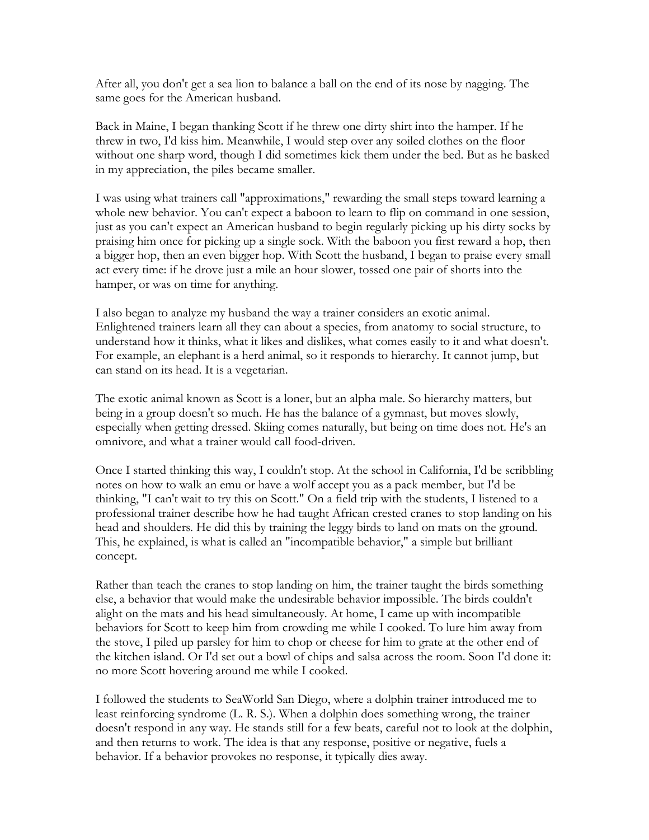After all, you don't get a sea lion to balance a ball on the end of its nose by nagging. The same goes for the American husband.

Back in Maine, I began thanking Scott if he threw one dirty shirt into the hamper. If he threw in two, I'd kiss him. Meanwhile, I would step over any soiled clothes on the floor without one sharp word, though I did sometimes kick them under the bed. But as he basked in my appreciation, the piles became smaller.

I was using what trainers call "approximations," rewarding the small steps toward learning a whole new behavior. You can't expect a baboon to learn to flip on command in one session, just as you can't expect an American husband to begin regularly picking up his dirty socks by praising him once for picking up a single sock. With the baboon you first reward a hop, then a bigger hop, then an even bigger hop. With Scott the husband, I began to praise every small act every time: if he drove just a mile an hour slower, tossed one pair of shorts into the hamper, or was on time for anything.

I also began to analyze my husband the way a trainer considers an exotic animal. Enlightened trainers learn all they can about a species, from anatomy to social structure, to understand how it thinks, what it likes and dislikes, what comes easily to it and what doesn't. For example, an elephant is a herd animal, so it responds to hierarchy. It cannot jump, but can stand on its head. It is a vegetarian.

The exotic animal known as Scott is a loner, but an alpha male. So hierarchy matters, but being in a group doesn't so much. He has the balance of a gymnast, but moves slowly, especially when getting dressed. Skiing comes naturally, but being on time does not. He's an omnivore, and what a trainer would call food-driven.

Once I started thinking this way, I couldn't stop. At the school in California, I'd be scribbling notes on how to walk an emu or have a wolf accept you as a pack member, but I'd be thinking, "I can't wait to try this on Scott." On a field trip with the students, I listened to a professional trainer describe how he had taught African crested cranes to stop landing on his head and shoulders. He did this by training the leggy birds to land on mats on the ground. This, he explained, is what is called an "incompatible behavior," a simple but brilliant concept.

Rather than teach the cranes to stop landing on him, the trainer taught the birds something else, a behavior that would make the undesirable behavior impossible. The birds couldn't alight on the mats and his head simultaneously. At home, I came up with incompatible behaviors for Scott to keep him from crowding me while I cooked. To lure him away from the stove, I piled up parsley for him to chop or cheese for him to grate at the other end of the kitchen island. Or I'd set out a bowl of chips and salsa across the room. Soon I'd done it: no more Scott hovering around me while I cooked.

I followed the students to SeaWorld San Diego, where a dolphin trainer introduced me to least reinforcing syndrome (L. R. S.). When a dolphin does something wrong, the trainer doesn't respond in any way. He stands still for a few beats, careful not to look at the dolphin, and then returns to work. The idea is that any response, positive or negative, fuels a behavior. If a behavior provokes no response, it typically dies away.